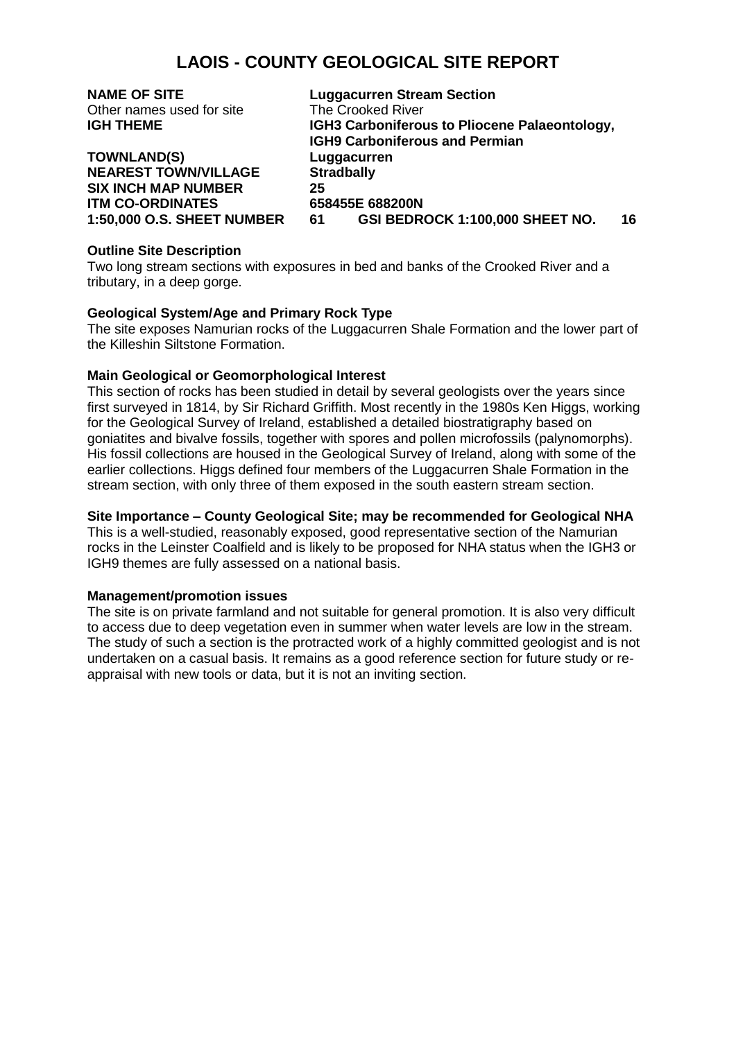# **LAOIS - COUNTY GEOLOGICAL SITE REPORT**

| <b>NAME OF SITE</b>               | <b>Luggacurren Stream Section</b>             |
|-----------------------------------|-----------------------------------------------|
| Other names used for site         | The Crooked River                             |
| <b>IGH THEME</b>                  | IGH3 Carboniferous to Pliocene Palaeontology, |
|                                   | <b>IGH9 Carboniferous and Permian</b>         |
| <b>TOWNLAND(S)</b>                | Luggacurren                                   |
| <b>NEAREST TOWN/VILLAGE</b>       | <b>Stradbally</b>                             |
| <b>SIX INCH MAP NUMBER</b>        | 25                                            |
| <b>ITM CO-ORDINATES</b>           | 658455E 688200N                               |
| <b>1:50,000 O.S. SHEET NUMBER</b> | GSI BEDROCK 1:100,000 SHEET NO.<br>16<br>61   |

## **Outline Site Description**

Two long stream sections with exposures in bed and banks of the Crooked River and a tributary, in a deep gorge.

## **Geological System/Age and Primary Rock Type**

The site exposes Namurian rocks of the Luggacurren Shale Formation and the lower part of the Killeshin Siltstone Formation.

## **Main Geological or Geomorphological Interest**

This section of rocks has been studied in detail by several geologists over the years since first surveyed in 1814, by Sir Richard Griffith. Most recently in the 1980s Ken Higgs, working for the Geological Survey of Ireland, established a detailed biostratigraphy based on goniatites and bivalve fossils, together with spores and pollen microfossils (palynomorphs). His fossil collections are housed in the Geological Survey of Ireland, along with some of the earlier collections. Higgs defined four members of the Luggacurren Shale Formation in the stream section, with only three of them exposed in the south eastern stream section.

## **Site Importance – County Geological Site; may be recommended for Geological NHA**

This is a well-studied, reasonably exposed, good representative section of the Namurian rocks in the Leinster Coalfield and is likely to be proposed for NHA status when the IGH3 or IGH9 themes are fully assessed on a national basis.

### **Management/promotion issues**

The site is on private farmland and not suitable for general promotion. It is also very difficult to access due to deep vegetation even in summer when water levels are low in the stream. The study of such a section is the protracted work of a highly committed geologist and is not undertaken on a casual basis. It remains as a good reference section for future study or reappraisal with new tools or data, but it is not an inviting section.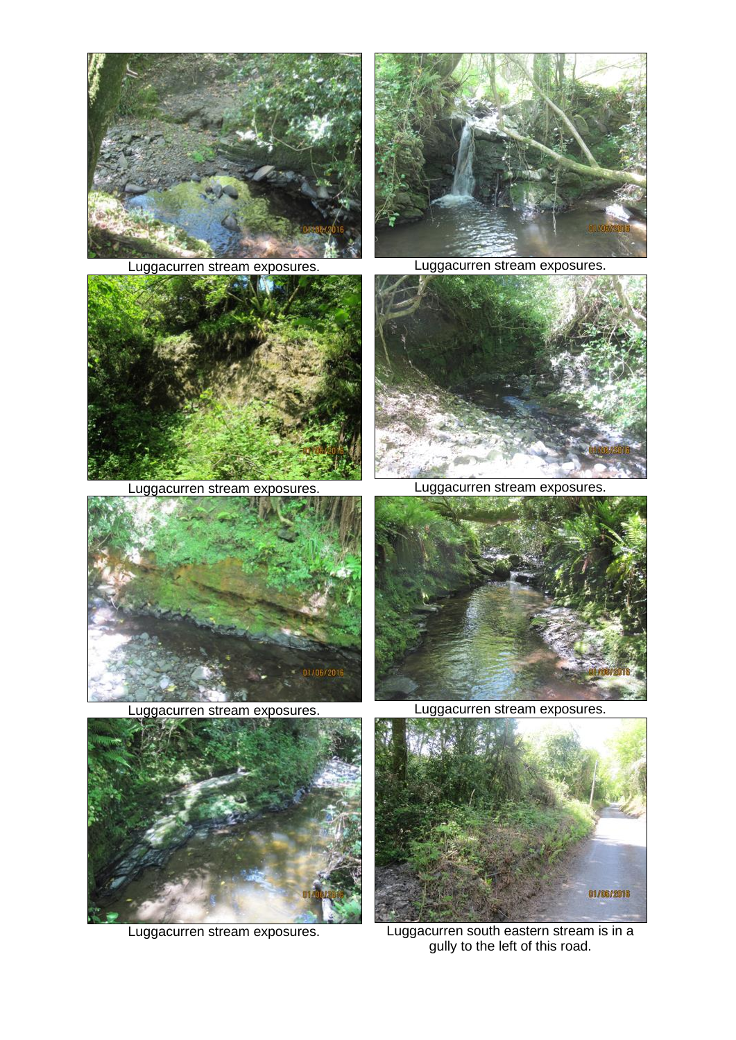



Luggacurren stream exposures. Luggacurren stream exposures.



Luggacurren stream exposures. Luggacurren stream exposures.





Luggacurren stream exposures. Luggacurren stream exposures.







Luggacurren stream exposures. Luggacurren south eastern stream is in a gully to the left of this road.